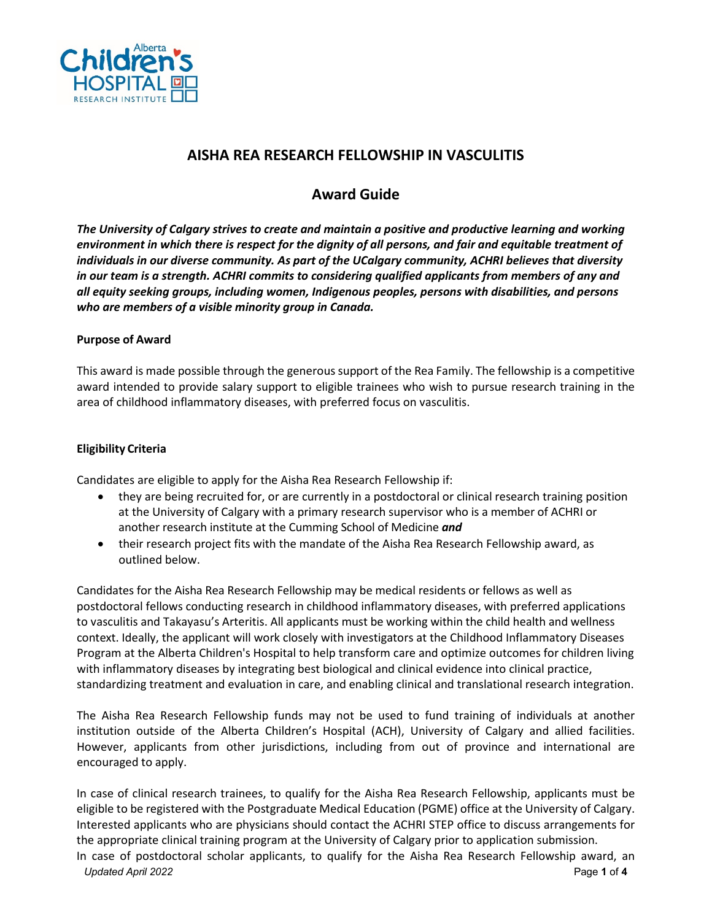

# **AISHA REA RESEARCH FELLOWSHIP IN VASCULITIS**

# **Award Guide**

*The University of Calgary strives to create and maintain a positive and productive learning and working environment in which there is respect for the dignity of all persons, and fair and equitable treatment of individuals in our diverse community. As part of the UCalgary community, ACHRI believes that diversity in our team is a strength. ACHRI commits to considering qualified applicants from members of any and all equity seeking groups, including women, Indigenous peoples, persons with disabilities, and persons who are members of a visible minority group in Canada.* 

## **Purpose of Award**

This award is made possible through the generous support of the Rea Family. The fellowship is a competitive award intended to provide salary support to eligible trainees who wish to pursue research training in the area of childhood inflammatory diseases, with preferred focus on vasculitis.

#### **Eligibility Criteria**

Candidates are eligible to apply for the Aisha Rea Research Fellowship if:

- they are being recruited for, or are currently in a postdoctoral or clinical research training position at the University of Calgary with a primary research supervisor who is a member of ACHRI or another research institute at the Cumming School of Medicine *and*
- their research project fits with the mandate of the Aisha Rea Research Fellowship award, as outlined below.

Candidates for the Aisha Rea Research Fellowship may be medical residents or fellows as well as postdoctoral fellows conducting research in childhood inflammatory diseases, with preferred applications to vasculitis and Takayasu's Arteritis. All applicants must be working within the child health and wellness context. Ideally, the applicant will work closely with investigators at the Childhood Inflammatory Diseases Program at the Alberta Children's Hospital to help transform care and optimize outcomes for children living with inflammatory diseases by integrating best biological and clinical evidence into clinical practice, standardizing treatment and evaluation in care, and enabling clinical and translational research integration.

The Aisha Rea Research Fellowship funds may not be used to fund training of individuals at another institution outside of the Alberta Children's Hospital (ACH), University of Calgary and allied facilities. However, applicants from other jurisdictions, including from out of province and international are encouraged to apply.

*Updated April 2022* Page **1** of **4** In case of clinical research trainees, to qualify for the Aisha Rea Research Fellowship, applicants must be eligible to be registered with the Postgraduate Medical Education (PGME) office at the University of Calgary. Interested applicants who are physicians should contact the ACHRI STEP office to discuss arrangements for the appropriate clinical training program at the University of Calgary prior to application submission. In case of postdoctoral scholar applicants, to qualify for the Aisha Rea Research Fellowship award, an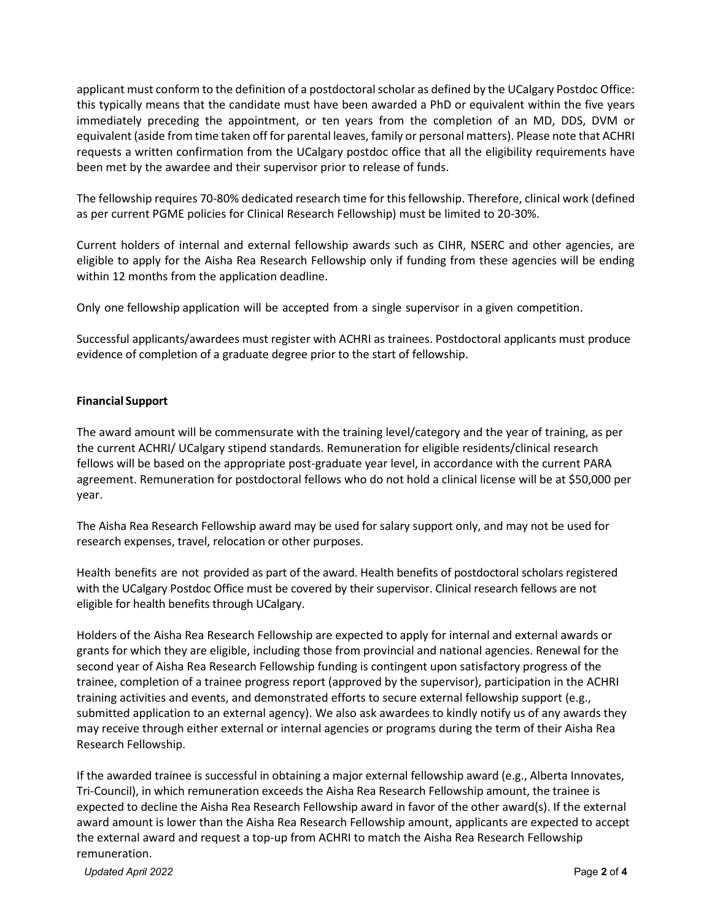applicant must conform to the definition of a postdoctoral scholar as defined by the UCalgary Postdoc Office: this typically means that the candidate must have been awarded a PhD or equivalent within the five years immediately preceding the appointment, or ten years from the completion of an MD, DDS, DVM or equivalent (aside from time taken off for parental leaves, family or personal matters). Please note that ACHRI requests a written confirmation from the UCalgary postdoc office that all the eligibility requirements have been met by the awardee and their supervisor prior to release of funds.

The fellowship requires 70-80% dedicated research time for this fellowship. Therefore, clinical work (defined as per current PGME policies for Clinical Research Fellowship) must be limited to 20-30%.

Current holders of internal and external fellowship awards such as CIHR, NSERC and other agencies, are eligible to apply for the Aisha Rea Research Fellowship only if funding from these agencies will be ending within 12 months from the application deadline.

Only one fellowship application will be accepted from a single supervisor in a given competition.

Successful applicants/awardees must register with ACHRI as trainees. Postdoctoral applicants must produce evidence of completion of a graduate degree prior to the start of fellowship.

## **Financial Support**

The award amount will be commensurate with the training level/category and the year of training, as per the current ACHRI/ UCalgary stipend standards. Remuneration for eligible residents/clinical research fellows will be based on the appropriate post-graduate year level, in accordance with the current PARA agreement. Remuneration for postdoctoral fellows who do not hold a clinical license will be at \$50,000 per year.

The Aisha Rea Research Fellowship award may be used for salary support only, and may not be used for research expenses, travel, relocation or other purposes.

Health benefits are not provided as part of the award. Health benefits of postdoctoral scholars registered with the UCalgary Postdoc Office must be covered by their supervisor. Clinical research fellows are not eligible for health benefits through UCalgary.

Holders of the Aisha Rea Research Fellowship are expected to apply for internal and external awards or grants for which they are eligible, including those from provincial and national agencies. Renewal for the second year of Aisha Rea Research Fellowship funding is contingent upon satisfactory progress of the trainee, completion of a trainee progress report (approved by the supervisor), participation in the ACHRI training activities and events, and demonstrated efforts to secure external fellowship support (e.g., submitted application to an external agency). We also ask awardees to kindly notify us of any awards they may receive through either external or internal agencies or programs during the term of their Aisha Rea Research Fellowship.

If the awarded trainee is successful in obtaining a major external fellowship award (e.g., Alberta Innovates, Tri-Council), in which remuneration exceeds the Aisha Rea Research Fellowship amount, the trainee is expected to decline the Aisha Rea Research Fellowship award in favor of the other award(s). If the external award amount is lower than the Aisha Rea Research Fellowship amount, applicants are expected to accept the external award and request a top-up from ACHRI to match the Aisha Rea Research Fellowship remuneration.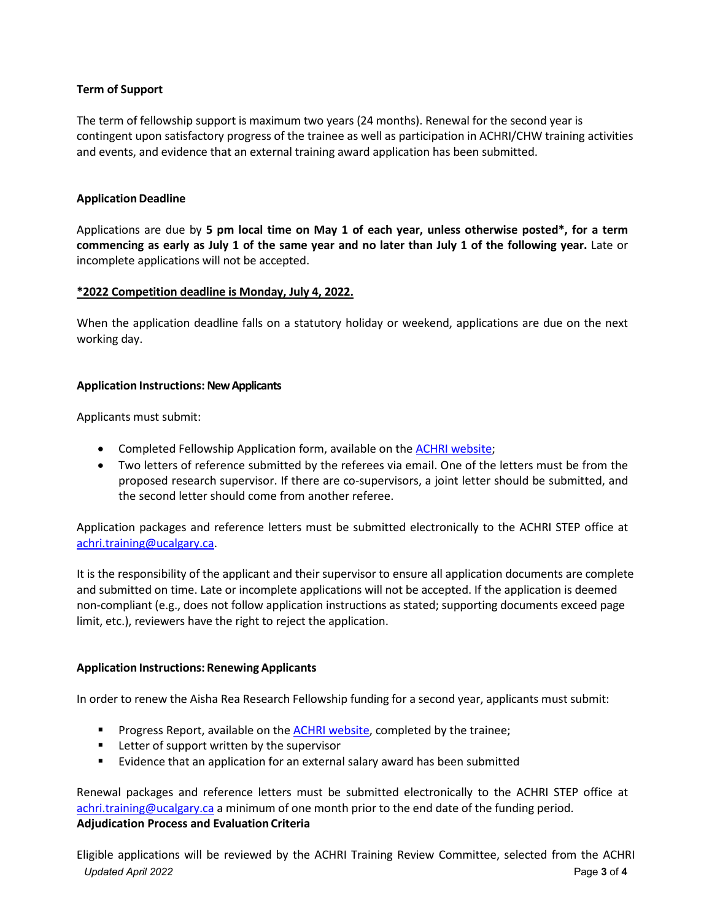## **Term of Support**

The term of fellowship support is maximum two years (24 months). Renewal for the second year is contingent upon satisfactory progress of the trainee as well as participation in ACHRI/CHW training activities and events, and evidence that an external training award application has been submitted.

## **Application Deadline**

Applications are due by **5 pm local time on May 1 of each year, unless otherwise posted\*, for a term commencing as early as July 1 of the same year and no later than July 1 of the following year.** Late or incomplete applications will not be accepted.

#### **\*2022 Competition deadline is Monday, July 4, 2022.**

When the application deadline falls on a statutory holiday or weekend, applications are due on the next working day.

#### **Application Instructions: New Applicants**

Applicants must submit:

- Completed Fellowship Application form, available on th[e ACHRI website;](https://research4kids.ucalgary.ca/trainees/current-trainees/funding)
- Two letters of reference submitted by the referees via email. One of the letters must be from the proposed research supervisor. If there are co-supervisors, a joint letter should be submitted, and the second letter should come from another referee.

Application packages and reference letters must be submitted electronically to the ACHRI STEP office at [achri.training@ucalgary.ca.](mailto:achri.training@ucalgary.ca)

It is the responsibility of the applicant and their supervisor to ensure all application documents are complete and submitted on time. Late or incomplete applications will not be accepted. If the application is deemed non-compliant (e.g., does not follow application instructions as stated; supporting documents exceed page limit, etc.), reviewers have the right to reject the application.

## **Application Instructions: Renewing Applicants**

In order to renew the Aisha Rea Research Fellowship funding for a second year, applicants must submit:

- **Progress Report, available on the [ACHRI website,](https://research4kids.ucalgary.ca/trainees/current-trainees/funding) completed by the trainee;**
- **EXTER** Letter of support written by the supervisor
- Evidence that an application for an external salary award has been submitted

Renewal packages and reference letters must be submitted electronically to the ACHRI STEP office at [achri.training@ucalgary.ca](mailto:achri.training@ucalgary.ca) a minimum of one month prior to the end date of the funding period. **Adjudication Process and Evaluation Criteria**

*Updated April 2022* Page **3** of **4** Eligible applications will be reviewed by the ACHRI Training Review Committee, selected from the ACHRI